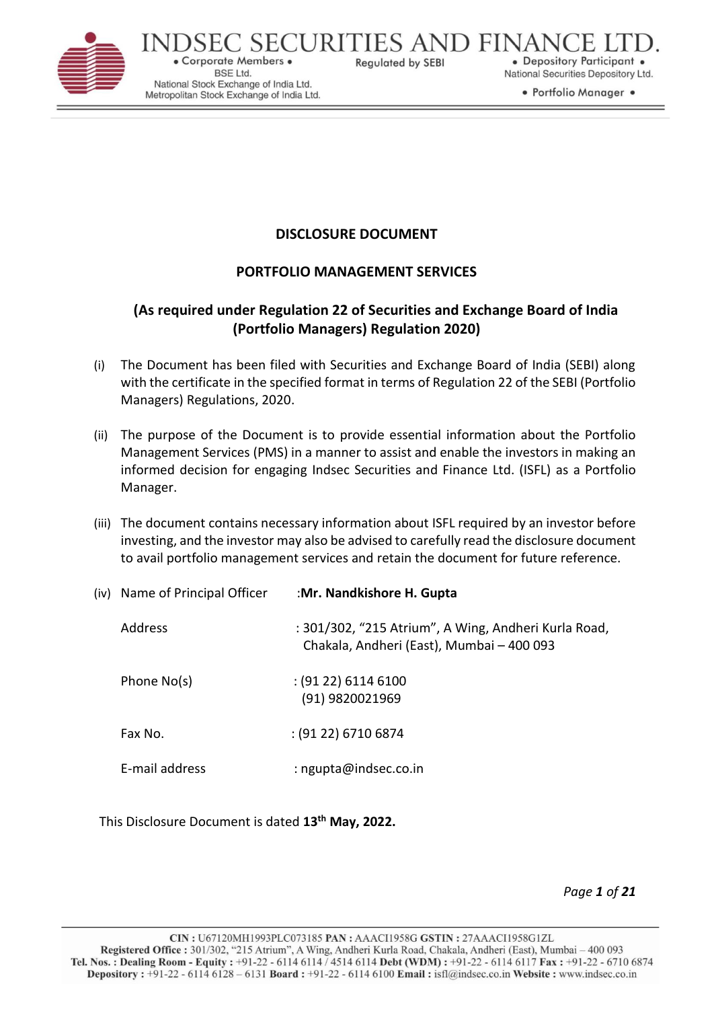

C SECURITIES AND FINAN · Corporate Members · **Regulated by SEBI BSE Ltd.** National Stock Exchange of India Ltd. Metropolitan Stock Exchange of India Ltd.

· Depository Participant . National Securities Depository Ltd.

• Portfolio Manager •

# **DISCLOSURE DOCUMENT**

# **PORTFOLIO MANAGEMENT SERVICES**

# **(As required under Regulation 22 of Securities and Exchange Board of India (Portfolio Managers) Regulation 2020)**

- (i) The Document has been filed with Securities and Exchange Board of India (SEBI) along with the certificate in the specified format in terms of Regulation 22 of the SEBI (Portfolio Managers) Regulations, 2020.
- (ii) The purpose of the Document is to provide essential information about the Portfolio Management Services (PMS) in a manner to assist and enable the investors in making an informed decision for engaging Indsec Securities and Finance Ltd. (ISFL) as a Portfolio Manager.
- (iii) The document contains necessary information about ISFL required by an investor before investing, and the investor may also be advised to carefully read the disclosure document to avail portfolio management services and retain the document for future reference.

| (iv) Name of Principal Officer | :Mr. Nandkishore H. Gupta                                                                         |
|--------------------------------|---------------------------------------------------------------------------------------------------|
| Address                        | : 301/302, "215 Atrium", A Wing, Andheri Kurla Road,<br>Chakala, Andheri (East), Mumbai - 400 093 |
| Phone No(s)                    | $(9122)$ 6114 6100<br>(91) 9820021969                                                             |
| Fax No.                        | $(9122)$ 6710 6874                                                                                |
| E-mail address                 | : ngupta@indsec.co.in                                                                             |

This Disclosure Document is dated **13 th May, 2022.**

*Page 1 of 21*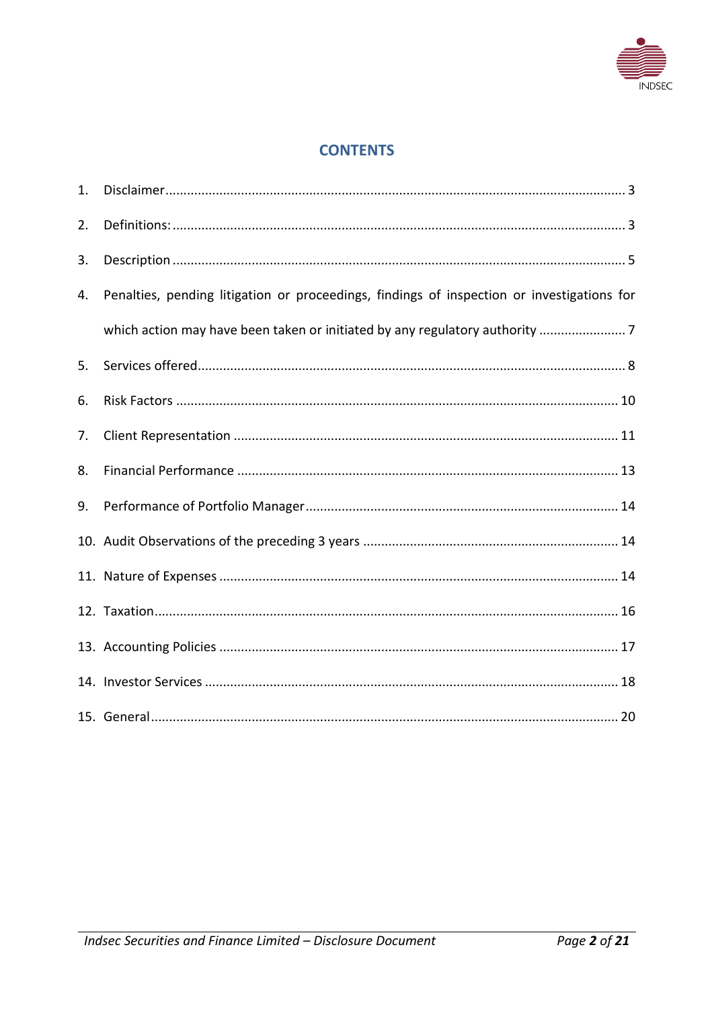

# **CONTENTS**

| 1. |                                                                                            |
|----|--------------------------------------------------------------------------------------------|
| 2. |                                                                                            |
| 3. |                                                                                            |
| 4. | Penalties, pending litigation or proceedings, findings of inspection or investigations for |
|    |                                                                                            |
| 5. |                                                                                            |
| 6. |                                                                                            |
| 7. |                                                                                            |
| 8. |                                                                                            |
| 9. |                                                                                            |
|    |                                                                                            |
|    |                                                                                            |
|    |                                                                                            |
|    |                                                                                            |
|    |                                                                                            |
|    |                                                                                            |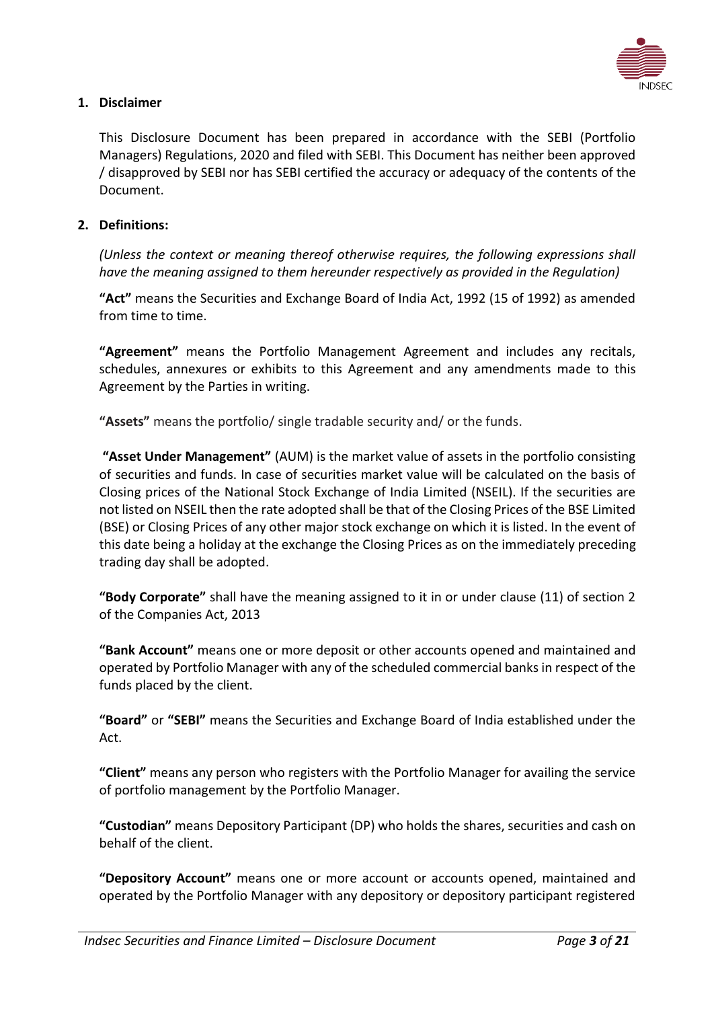

# <span id="page-2-0"></span>**1. Disclaimer**

This Disclosure Document has been prepared in accordance with the SEBI (Portfolio Managers) Regulations, 2020 and filed with SEBI. This Document has neither been approved / disapproved by SEBI nor has SEBI certified the accuracy or adequacy of the contents of the Document.

### <span id="page-2-1"></span>**2. Definitions:**

*(Unless the context or meaning thereof otherwise requires, the following expressions shall have the meaning assigned to them hereunder respectively as provided in the Regulation)*

**"Act"** means the Securities and Exchange Board of India Act, 1992 (15 of 1992) as amended from time to time.

**"Agreement"** means the Portfolio Management Agreement and includes any recitals, schedules, annexures or exhibits to this Agreement and any amendments made to this Agreement by the Parties in writing.

**"Assets"** means the portfolio/ single tradable security and/ or the funds.

**"Asset Under Management"** (AUM) is the market value of assets in the portfolio consisting of securities and funds. In case of securities market value will be calculated on the basis of Closing prices of the National Stock Exchange of India Limited (NSEIL). If the securities are not listed on NSEIL then the rate adopted shall be that of the Closing Prices of the BSE Limited (BSE) or Closing Prices of any other major stock exchange on which it is listed. In the event of this date being a holiday at the exchange the Closing Prices as on the immediately preceding trading day shall be adopted.

**"Body Corporate"** shall have the meaning assigned to it in or under clause (11) of section 2 of the Companies Act, 2013

**"Bank Account"** means one or more deposit or other accounts opened and maintained and operated by Portfolio Manager with any of the scheduled commercial banks in respect of the funds placed by the client.

**"Board"** or **"SEBI"** means the Securities and Exchange Board of India established under the Act.

**"Client"** means any person who registers with the Portfolio Manager for availing the service of portfolio management by the Portfolio Manager.

**"Custodian"** means Depository Participant (DP) who holds the shares, securities and cash on behalf of the client.

**"Depository Account"** means one or more account or accounts opened, maintained and operated by the Portfolio Manager with any depository or depository participant registered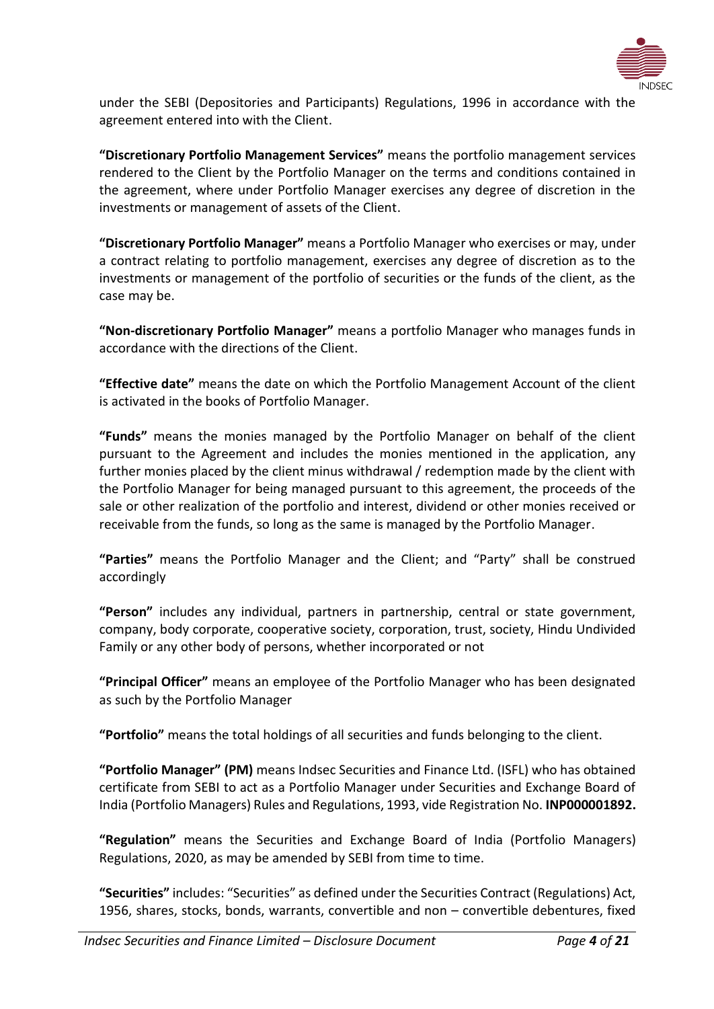

under the SEBI (Depositories and Participants) Regulations, 1996 in accordance with the agreement entered into with the Client.

**"Discretionary Portfolio Management Services"** means the portfolio management services rendered to the Client by the Portfolio Manager on the terms and conditions contained in the agreement, where under Portfolio Manager exercises any degree of discretion in the investments or management of assets of the Client.

**"Discretionary Portfolio Manager"** means a Portfolio Manager who exercises or may, under a contract relating to portfolio management, exercises any degree of discretion as to the investments or management of the portfolio of securities or the funds of the client, as the case may be.

**"Non-discretionary Portfolio Manager"** means a portfolio Manager who manages funds in accordance with the directions of the Client.

**"Effective date"** means the date on which the Portfolio Management Account of the client is activated in the books of Portfolio Manager.

**"Funds"** means the monies managed by the Portfolio Manager on behalf of the client pursuant to the Agreement and includes the monies mentioned in the application, any further monies placed by the client minus withdrawal / redemption made by the client with the Portfolio Manager for being managed pursuant to this agreement, the proceeds of the sale or other realization of the portfolio and interest, dividend or other monies received or receivable from the funds, so long as the same is managed by the Portfolio Manager.

**"Parties"** means the Portfolio Manager and the Client; and "Party" shall be construed accordingly

**"Person"** includes any individual, partners in partnership, central or state government, company, body corporate, cooperative society, corporation, trust, society, Hindu Undivided Family or any other body of persons, whether incorporated or not

**"Principal Officer"** means an employee of the Portfolio Manager who has been designated as such by the Portfolio Manager

**"Portfolio"** means the total holdings of all securities and funds belonging to the client.

**"Portfolio Manager" (PM)** means Indsec Securities and Finance Ltd. (ISFL) who has obtained certificate from SEBI to act as a Portfolio Manager under Securities and Exchange Board of India (Portfolio Managers) Rules and Regulations, 1993, vide Registration No. **INP000001892.**

**"Regulation"** means the Securities and Exchange Board of India (Portfolio Managers) Regulations, 2020, as may be amended by SEBI from time to time.

**"Securities"** includes: "Securities" as defined under the Securities Contract (Regulations) Act, 1956, shares, stocks, bonds, warrants, convertible and non – convertible debentures, fixed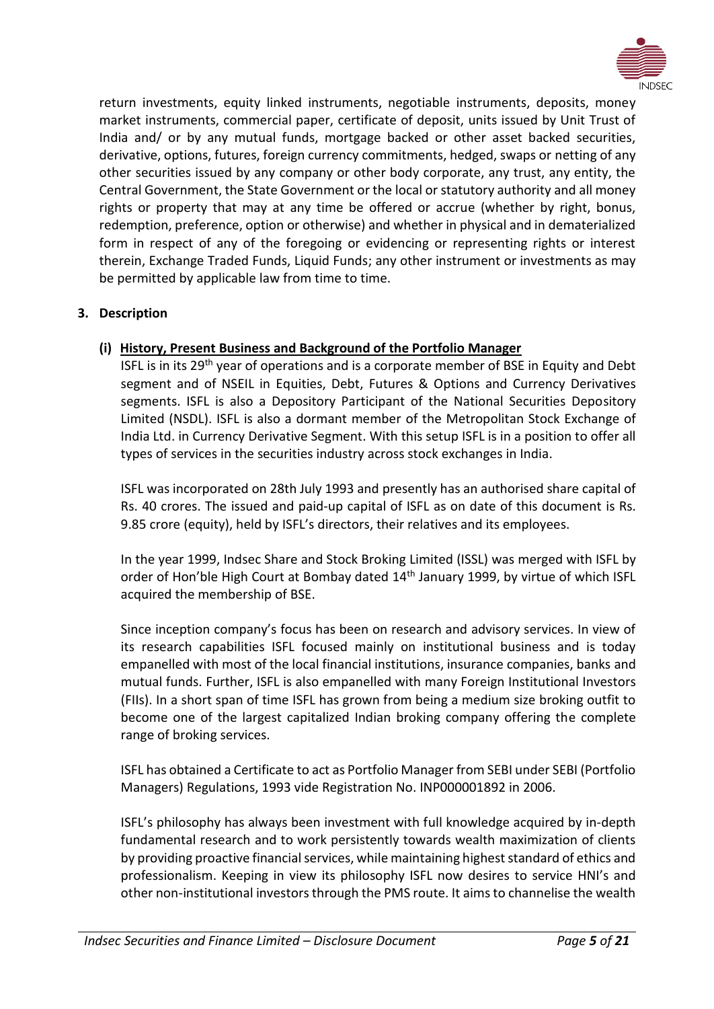

return investments, equity linked instruments, negotiable instruments, deposits, money market instruments, commercial paper, certificate of deposit, units issued by Unit Trust of India and/ or by any mutual funds, mortgage backed or other asset backed securities, derivative, options, futures, foreign currency commitments, hedged, swaps or netting of any other securities issued by any company or other body corporate, any trust, any entity, the Central Government, the State Government or the local or statutory authority and all money rights or property that may at any time be offered or accrue (whether by right, bonus, redemption, preference, option or otherwise) and whether in physical and in dematerialized form in respect of any of the foregoing or evidencing or representing rights or interest therein, Exchange Traded Funds, Liquid Funds; any other instrument or investments as may be permitted by applicable law from time to time.

# <span id="page-4-0"></span>**3. Description**

# **(i) History, Present Business and Background of the Portfolio Manager**

ISFL is in its 29<sup>th</sup> year of operations and is a corporate member of BSE in Equity and Debt segment and of NSEIL in Equities, Debt, Futures & Options and Currency Derivatives segments. ISFL is also a Depository Participant of the National Securities Depository Limited (NSDL). ISFL is also a dormant member of the Metropolitan Stock Exchange of India Ltd. in Currency Derivative Segment. With this setup ISFL is in a position to offer all types of services in the securities industry across stock exchanges in India.

ISFL was incorporated on 28th July 1993 and presently has an authorised share capital of Rs. 40 crores. The issued and paid-up capital of ISFL as on date of this document is Rs. 9.85 crore (equity), held by ISFL's directors, their relatives and its employees.

In the year 1999, Indsec Share and Stock Broking Limited (ISSL) was merged with ISFL by order of Hon'ble High Court at Bombay dated 14<sup>th</sup> January 1999, by virtue of which ISFL acquired the membership of BSE.

Since inception company's focus has been on research and advisory services. In view of its research capabilities ISFL focused mainly on institutional business and is today empanelled with most of the local financial institutions, insurance companies, banks and mutual funds. Further, ISFL is also empanelled with many Foreign Institutional Investors (FIIs). In a short span of time ISFL has grown from being a medium size broking outfit to become one of the largest capitalized Indian broking company offering the complete range of broking services.

ISFL has obtained a Certificate to act as Portfolio Manager from SEBI under SEBI (Portfolio Managers) Regulations, 1993 vide Registration No. INP000001892 in 2006.

ISFL's philosophy has always been investment with full knowledge acquired by in-depth fundamental research and to work persistently towards wealth maximization of clients by providing proactive financial services, while maintaining highest standard of ethics and professionalism. Keeping in view its philosophy ISFL now desires to service HNI's and other non-institutional investors through the PMS route. It aims to channelise the wealth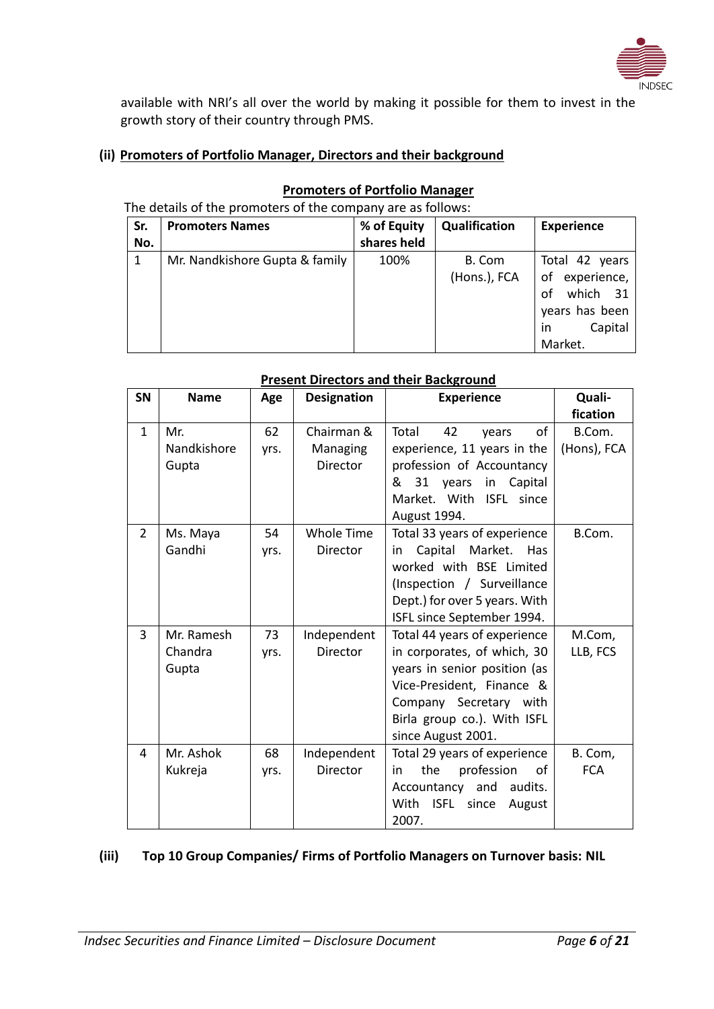

available with NRI's all over the world by making it possible for them to invest in the growth story of their country through PMS.

# **(ii) Promoters of Portfolio Manager, Directors and their background**

| Sr. | <b>Promoters Names</b>         | % of Equity | Qualification          | <b>Experience</b>                                                                     |
|-----|--------------------------------|-------------|------------------------|---------------------------------------------------------------------------------------|
| No. |                                | shares held |                        |                                                                                       |
| 1   | Mr. Nandkishore Gupta & family | 100%        | B. Com<br>(Hons.), FCA | Total 42 years<br>of experience,<br>which 31<br>of<br>years has been<br>Capital<br>in |
|     |                                |             |                        | Market.                                                                               |

#### **Promoters of Portfolio Manager** The details of the promoters of the company are as follows:

|                | <b>Present Directors and their Background</b> |      |                    |                                                |                    |
|----------------|-----------------------------------------------|------|--------------------|------------------------------------------------|--------------------|
| SN             | <b>Name</b>                                   | Age  | <b>Designation</b> | <b>Experience</b>                              | Quali-<br>fication |
| $\mathbf{1}$   | Mr.                                           | 62   | Chairman &         | Total<br>42<br>of<br>years                     | B.Com.             |
|                | Nandkishore                                   | yrs. | Managing           | experience, 11 years in the                    | (Hons), FCA        |
|                | Gupta                                         |      | Director           | profession of Accountancy                      |                    |
|                |                                               |      |                    | 31<br>Capital<br>&<br>years<br>in              |                    |
|                |                                               |      |                    | Market. With ISFL since                        |                    |
|                |                                               |      |                    | August 1994.                                   |                    |
| $\overline{2}$ | Ms. Maya                                      | 54   | <b>Whole Time</b>  | Total 33 years of experience                   | B.Com.             |
|                | Gandhi                                        | yrs. | Director           | Capital<br>Market.<br><b>Has</b><br>in         |                    |
|                |                                               |      |                    | worked with BSE Limited                        |                    |
|                |                                               |      |                    | (Inspection / Surveillance                     |                    |
|                |                                               |      |                    | Dept.) for over 5 years. With                  |                    |
|                |                                               |      |                    | ISFL since September 1994.                     |                    |
| 3              | Mr. Ramesh                                    | 73   | Independent        | Total 44 years of experience                   | M.Com,             |
|                | Chandra                                       | yrs. | Director           | in corporates, of which, 30                    | LLB, FCS           |
|                | Gupta                                         |      |                    | years in senior position (as                   |                    |
|                |                                               |      |                    | Vice-President, Finance &                      |                    |
|                |                                               |      |                    | Company Secretary with                         |                    |
|                |                                               |      |                    | Birla group co.). With ISFL                    |                    |
|                |                                               |      |                    | since August 2001.                             |                    |
| 4              | Mr. Ashok                                     | 68   | Independent        | Total 29 years of experience<br>the            | B. Com,            |
|                | Kukreja                                       | yrs. | <b>Director</b>    | profession<br>οf<br>in<br>audits.<br>and       | <b>FCA</b>         |
|                |                                               |      |                    | Accountancy<br>With<br>ISFL<br>since<br>August |                    |
|                |                                               |      |                    | 2007.                                          |                    |
|                |                                               |      |                    |                                                |                    |

# **(iii) Top 10 Group Companies/ Firms of Portfolio Managers on Turnover basis: NIL**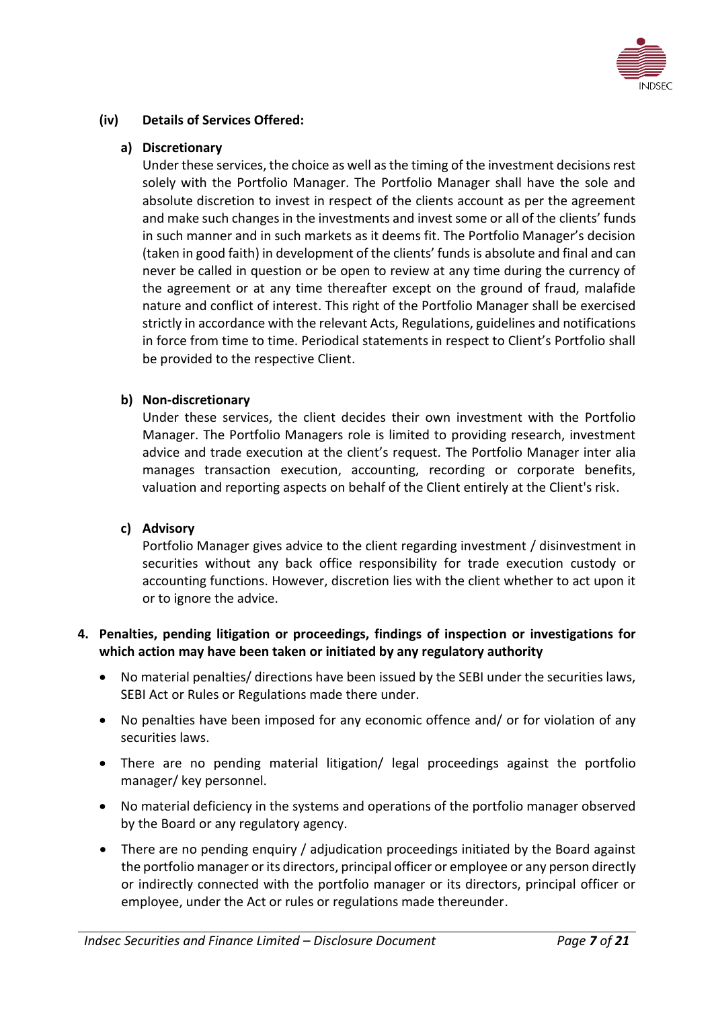

# **(iv) Details of Services Offered:**

# **a) Discretionary**

Under these services, the choice as well as the timing of the investment decisions rest solely with the Portfolio Manager. The Portfolio Manager shall have the sole and absolute discretion to invest in respect of the clients account as per the agreement and make such changes in the investments and invest some or all of the clients' funds in such manner and in such markets as it deems fit. The Portfolio Manager's decision (taken in good faith) in development of the clients' funds is absolute and final and can never be called in question or be open to review at any time during the currency of the agreement or at any time thereafter except on the ground of fraud, malafide nature and conflict of interest. This right of the Portfolio Manager shall be exercised strictly in accordance with the relevant Acts, Regulations, guidelines and notifications in force from time to time. Periodical statements in respect to Client's Portfolio shall be provided to the respective Client.

# **b) Non-discretionary**

Under these services, the client decides their own investment with the Portfolio Manager. The Portfolio Managers role is limited to providing research, investment advice and trade execution at the client's request. The Portfolio Manager inter alia manages transaction execution, accounting, recording or corporate benefits, valuation and reporting aspects on behalf of the Client entirely at the Client's risk.

# **c) Advisory**

Portfolio Manager gives advice to the client regarding investment / disinvestment in securities without any back office responsibility for trade execution custody or accounting functions. However, discretion lies with the client whether to act upon it or to ignore the advice.

# <span id="page-6-0"></span>**4. Penalties, pending litigation or proceedings, findings of inspection or investigations for which action may have been taken or initiated by any regulatory authority**

- No material penalties/ directions have been issued by the SEBI under the securities laws, SEBI Act or Rules or Regulations made there under.
- No penalties have been imposed for any economic offence and/ or for violation of any securities laws.
- There are no pending material litigation/ legal proceedings against the portfolio manager/ key personnel.
- No material deficiency in the systems and operations of the portfolio manager observed by the Board or any regulatory agency.
- There are no pending enquiry / adjudication proceedings initiated by the Board against the portfolio manager or its directors, principal officer or employee or any person directly or indirectly connected with the portfolio manager or its directors, principal officer or employee, under the Act or rules or regulations made thereunder.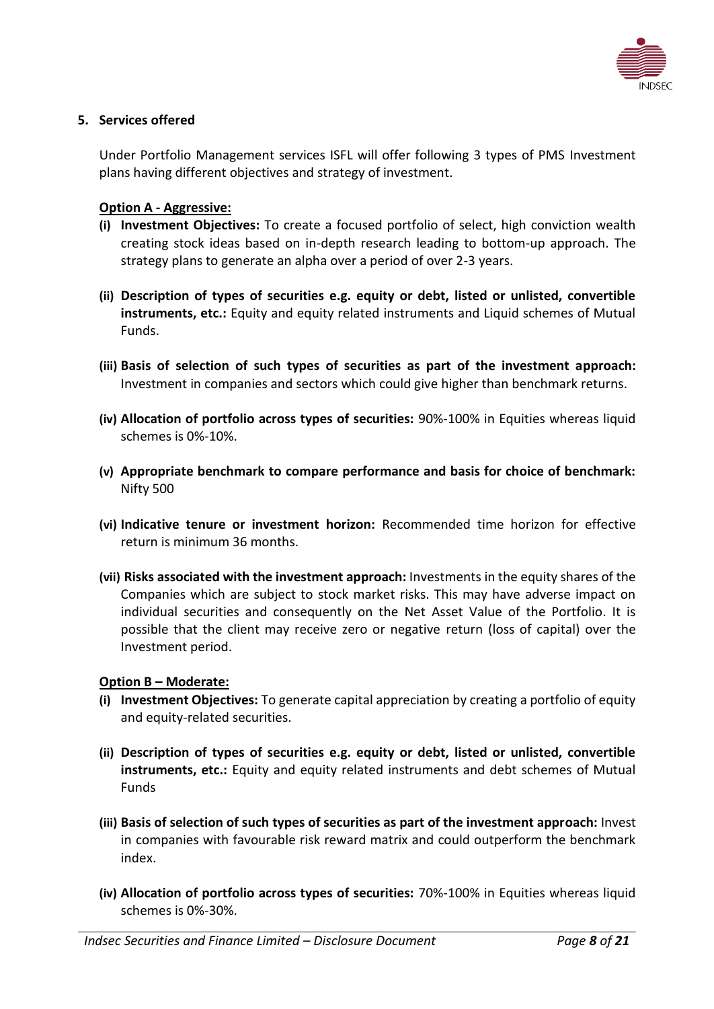

# <span id="page-7-0"></span>**5. Services offered**

Under Portfolio Management services ISFL will offer following 3 types of PMS Investment plans having different objectives and strategy of investment.

# **Option A - Aggressive:**

- **(i) Investment Objectives:** To create a focused portfolio of select, high conviction wealth creating stock ideas based on in-depth research leading to bottom-up approach. The strategy plans to generate an alpha over a period of over 2-3 years.
- **(ii) Description of types of securities e.g. equity or debt, listed or unlisted, convertible instruments, etc.:** Equity and equity related instruments and Liquid schemes of Mutual Funds.
- **(iii) Basis of selection of such types of securities as part of the investment approach:**  Investment in companies and sectors which could give higher than benchmark returns.
- **(iv) Allocation of portfolio across types of securities:** 90%-100% in Equities whereas liquid schemes is 0%-10%.
- **(v) Appropriate benchmark to compare performance and basis for choice of benchmark:**  Nifty 500
- **(vi) Indicative tenure or investment horizon:** Recommended time horizon for effective return is minimum 36 months.
- **(vii) Risks associated with the investment approach:** Investments in the equity shares of the Companies which are subject to stock market risks. This may have adverse impact on individual securities and consequently on the Net Asset Value of the Portfolio. It is possible that the client may receive zero or negative return (loss of capital) over the Investment period.

#### **Option B – Moderate:**

- **(i) Investment Objectives:** To generate capital appreciation by creating a portfolio of equity and equity-related securities.
- **(ii) Description of types of securities e.g. equity or debt, listed or unlisted, convertible instruments, etc.:** Equity and equity related instruments and debt schemes of Mutual Funds
- **(iii) Basis of selection of such types of securities as part of the investment approach:** Invest in companies with favourable risk reward matrix and could outperform the benchmark index.
- **(iv) Allocation of portfolio across types of securities:** 70%-100% in Equities whereas liquid schemes is 0%-30%.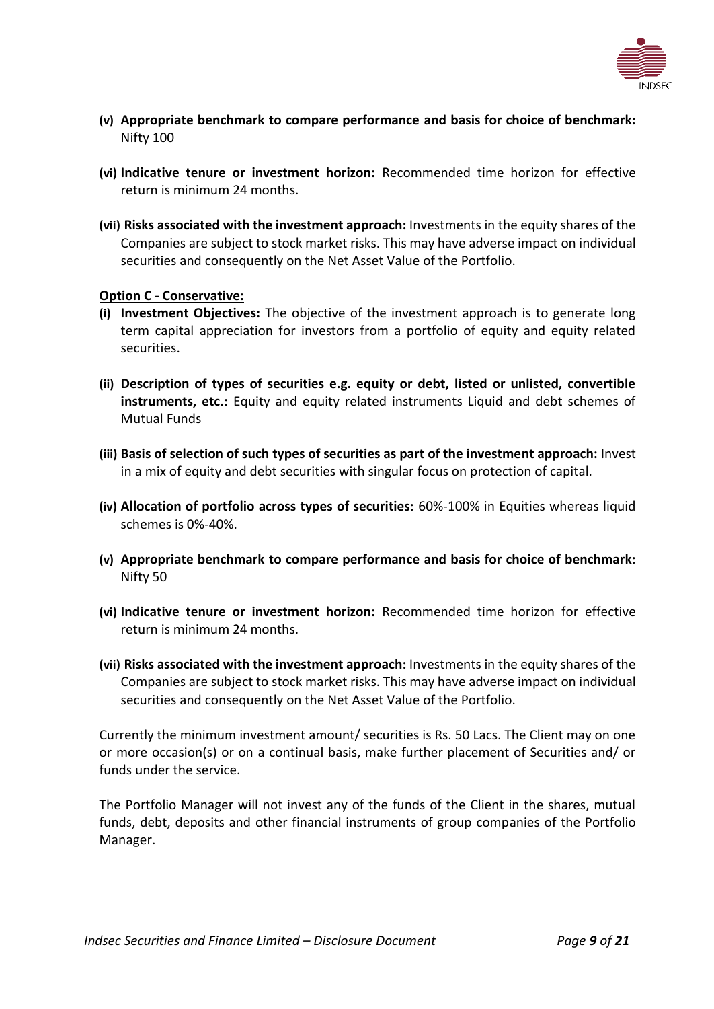

- **(v) Appropriate benchmark to compare performance and basis for choice of benchmark:**  Nifty 100
- **(vi) Indicative tenure or investment horizon:** Recommended time horizon for effective return is minimum 24 months.
- **(vii) Risks associated with the investment approach:** Investments in the equity shares of the Companies are subject to stock market risks. This may have adverse impact on individual securities and consequently on the Net Asset Value of the Portfolio.

### **Option C - Conservative:**

- **(i) Investment Objectives:** The objective of the investment approach is to generate long term capital appreciation for investors from a portfolio of equity and equity related securities.
- **(ii) Description of types of securities e.g. equity or debt, listed or unlisted, convertible instruments, etc.:** Equity and equity related instruments Liquid and debt schemes of Mutual Funds
- **(iii) Basis of selection of such types of securities as part of the investment approach:** Invest in a mix of equity and debt securities with singular focus on protection of capital.
- **(iv) Allocation of portfolio across types of securities:** 60%-100% in Equities whereas liquid schemes is 0%-40%.
- **(v) Appropriate benchmark to compare performance and basis for choice of benchmark:**  Nifty 50
- **(vi) Indicative tenure or investment horizon:** Recommended time horizon for effective return is minimum 24 months.
- **(vii) Risks associated with the investment approach:** Investments in the equity shares of the Companies are subject to stock market risks. This may have adverse impact on individual securities and consequently on the Net Asset Value of the Portfolio.

Currently the minimum investment amount/ securities is Rs. 50 Lacs. The Client may on one or more occasion(s) or on a continual basis, make further placement of Securities and/ or funds under the service.

<span id="page-8-0"></span>The Portfolio Manager will not invest any of the funds of the Client in the shares, mutual funds, debt, deposits and other financial instruments of group companies of the Portfolio Manager.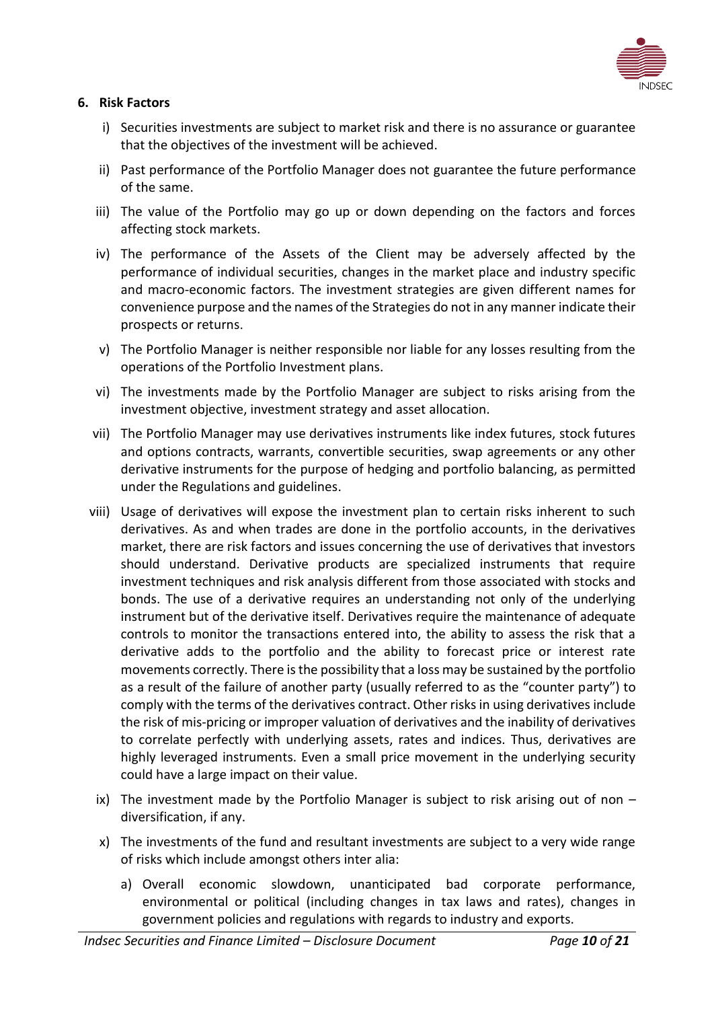

# **6. Risk Factors**

- i) Securities investments are subject to market risk and there is no assurance or guarantee that the objectives of the investment will be achieved.
- ii) Past performance of the Portfolio Manager does not guarantee the future performance of the same.
- iii) The value of the Portfolio may go up or down depending on the factors and forces affecting stock markets.
- iv) The performance of the Assets of the Client may be adversely affected by the performance of individual securities, changes in the market place and industry specific and macro-economic factors. The investment strategies are given different names for convenience purpose and the names of the Strategies do not in any manner indicate their prospects or returns.
- v) The Portfolio Manager is neither responsible nor liable for any losses resulting from the operations of the Portfolio Investment plans.
- vi) The investments made by the Portfolio Manager are subject to risks arising from the investment objective, investment strategy and asset allocation.
- vii) The Portfolio Manager may use derivatives instruments like index futures, stock futures and options contracts, warrants, convertible securities, swap agreements or any other derivative instruments for the purpose of hedging and portfolio balancing, as permitted under the Regulations and guidelines.
- viii) Usage of derivatives will expose the investment plan to certain risks inherent to such derivatives. As and when trades are done in the portfolio accounts, in the derivatives market, there are risk factors and issues concerning the use of derivatives that investors should understand. Derivative products are specialized instruments that require investment techniques and risk analysis different from those associated with stocks and bonds. The use of a derivative requires an understanding not only of the underlying instrument but of the derivative itself. Derivatives require the maintenance of adequate controls to monitor the transactions entered into, the ability to assess the risk that a derivative adds to the portfolio and the ability to forecast price or interest rate movements correctly. There is the possibility that a loss may be sustained by the portfolio as a result of the failure of another party (usually referred to as the "counter party") to comply with the terms of the derivatives contract. Other risks in using derivatives include the risk of mis-pricing or improper valuation of derivatives and the inability of derivatives to correlate perfectly with underlying assets, rates and indices. Thus, derivatives are highly leveraged instruments. Even a small price movement in the underlying security could have a large impact on their value.
	- ix) The investment made by the Portfolio Manager is subject to risk arising out of non  $$ diversification, if any.
	- x) The investments of the fund and resultant investments are subject to a very wide range of risks which include amongst others inter alia:
		- a) Overall economic slowdown, unanticipated bad corporate performance, environmental or political (including changes in tax laws and rates), changes in government policies and regulations with regards to industry and exports.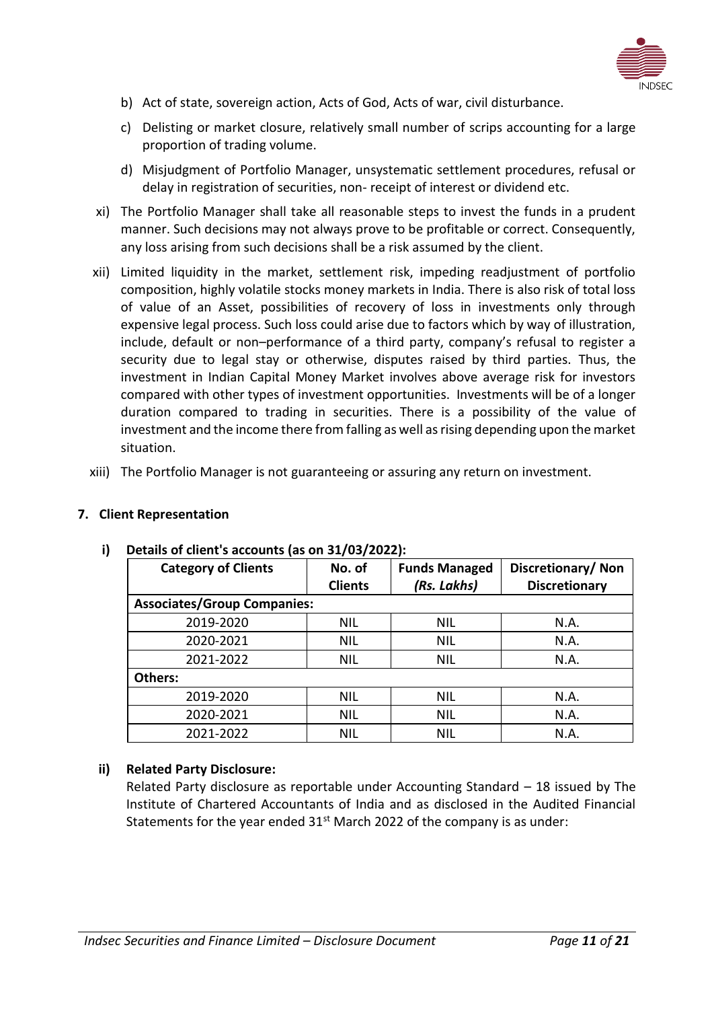

- b) Act of state, sovereign action, Acts of God, Acts of war, civil disturbance.
- c) Delisting or market closure, relatively small number of scrips accounting for a large proportion of trading volume.
- d) Misjudgment of Portfolio Manager, unsystematic settlement procedures, refusal or delay in registration of securities, non- receipt of interest or dividend etc.
- xi) The Portfolio Manager shall take all reasonable steps to invest the funds in a prudent manner. Such decisions may not always prove to be profitable or correct. Consequently, any loss arising from such decisions shall be a risk assumed by the client.
- xii) Limited liquidity in the market, settlement risk, impeding readjustment of portfolio composition, highly volatile stocks money markets in India. There is also risk of total loss of value of an Asset, possibilities of recovery of loss in investments only through expensive legal process. Such loss could arise due to factors which by way of illustration, include, default or non–performance of a third party, company's refusal to register a security due to legal stay or otherwise, disputes raised by third parties. Thus, the investment in Indian Capital Money Market involves above average risk for investors compared with other types of investment opportunities. Investments will be of a longer duration compared to trading in securities. There is a possibility of the value of investment and the income there from falling as well as rising depending upon the market situation.
- xiii) The Portfolio Manager is not guaranteeing or assuring any return on investment.

# <span id="page-10-0"></span>**7. Client Representation**

**Others:**

| <b>Category of Clients</b>         | No. of<br><b>Clients</b> | <b>Funds Managed</b><br>(Rs. Lakhs) |  |  |
|------------------------------------|--------------------------|-------------------------------------|--|--|
| <b>Associates/Group Companies:</b> |                          |                                     |  |  |
|                                    |                          |                                     |  |  |

# **i) Details of client's accounts (as on 31/03/2022):**

#### **ii) Related Party Disclosure:**

Related Party disclosure as reportable under Accounting Standard – 18 issued by The Institute of Chartered Accountants of India and as disclosed in the Audited Financial Statements for the year ended  $31<sup>st</sup>$  March 2022 of the company is as under:

2019-2020 | NIL | NIL | N.A. 2020-2021 | NIL | NIL | N.A. 2021-2022 NIL NIL N.A.

2019-2020 NIL NIL N.A. 2020-2021 | NIL | NIL | N.A. 2021-2022 NIL NIL N.A.

**Discretionary/ Non Discretionary**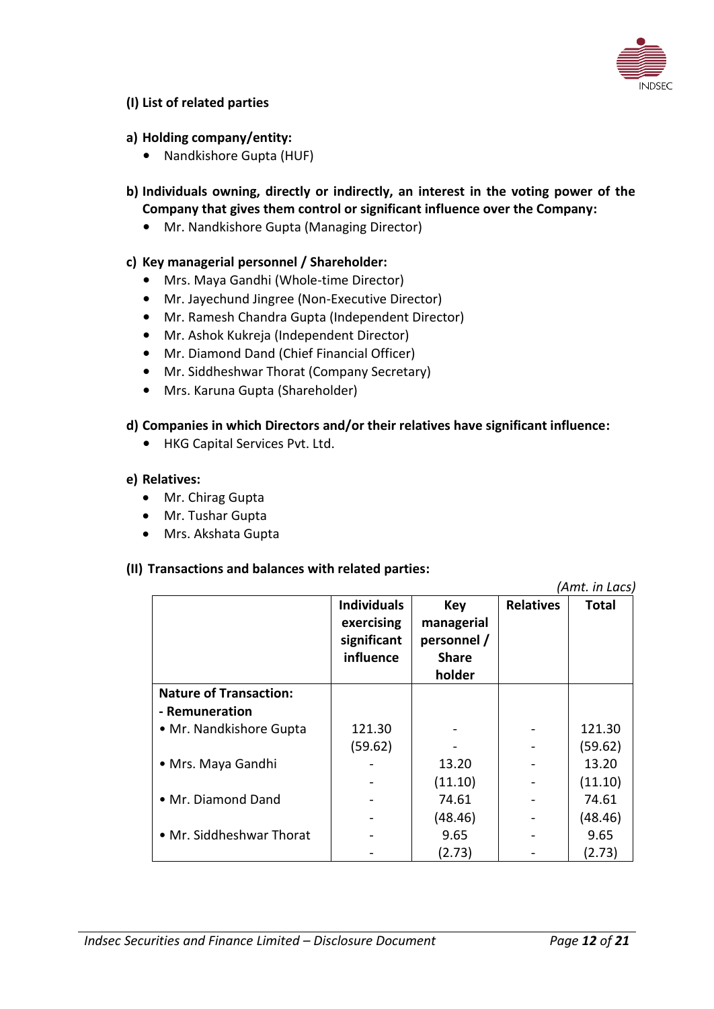

### **(I) List of related parties**

### **a) Holding company/entity:**

- Nandkishore Gupta (HUF)
- **b) Individuals owning, directly or indirectly, an interest in the voting power of the Company that gives them control or significant influence over the Company:**
	- Mr. Nandkishore Gupta (Managing Director)

### **c) Key managerial personnel / Shareholder:**

- Mrs. Maya Gandhi (Whole-time Director)
- Mr. Jayechund Jingree (Non-Executive Director)
- Mr. Ramesh Chandra Gupta (Independent Director)
- Mr. Ashok Kukreja (Independent Director)
- Mr. Diamond Dand (Chief Financial Officer)
- Mr. Siddheshwar Thorat (Company Secretary)
- Mrs. Karuna Gupta (Shareholder)

### **d) Companies in which Directors and/or their relatives have significant influence:**

• HKG Capital Services Pvt. Ltd.

#### **e) Relatives:**

- Mr. Chirag Gupta
- Mr. Tushar Gupta
- Mrs. Akshata Gupta

#### **(II) Transactions and balances with related parties:**

*(Amt. in Lacs)* **Individuals exercising significant influence Key managerial personnel / Share holder Relatives Total Nature of Transaction: - Remuneration** • Mr. Nandkishore Gupta  $\begin{array}{|c|c|c|c|c|c|c|c|c|} \hline \text{• Mr.} \text{ Nandkishore Gupta} & 121.30 & - & - & 121.30 \ \hline \end{array}$  $(59.62)$  -  $\vert$  -  $\vert$  (59.62) • Mrs. Maya Gandhi | - | 13.20 | - | 13.20  $(11.10)$   $\qquad (11.10)$ • Mr. Diamond Dand | - | 74.61 | - | 74.61  $(48.46)$   $\qquad - \qquad (48.46)$ • Mr. Siddheshwar Thorat - 9.65 (2.73) - - 9.65 (2.73)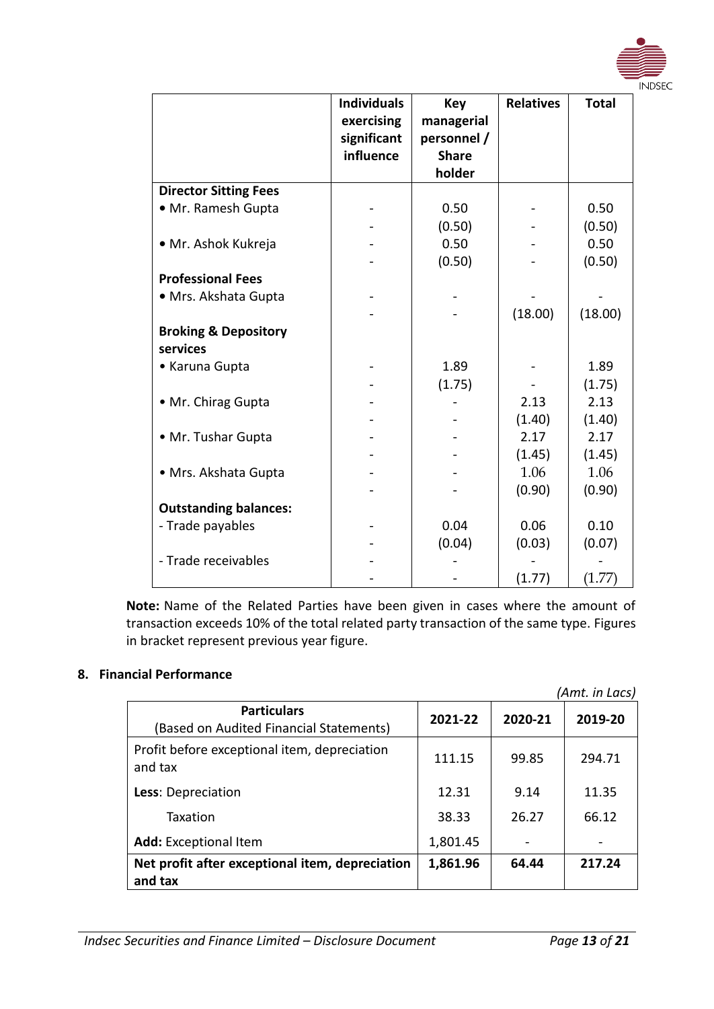

**Note:** Name of the Related Parties have been given in cases where the amount of transaction exceeds 10% of the total related party transaction of the same type. Figures in bracket represent previous year figure.

# <span id="page-12-0"></span>**8. Financial Performance**

<span id="page-12-1"></span>

|                                                               |          |         | (Amt. in Lacs) |
|---------------------------------------------------------------|----------|---------|----------------|
| <b>Particulars</b><br>(Based on Audited Financial Statements) | 2021-22  | 2020-21 | 2019-20        |
| Profit before exceptional item, depreciation<br>and tax       | 111.15   | 99.85   | 294.71         |
| Less: Depreciation                                            | 12.31    | 9.14    | 11.35          |
| Taxation                                                      | 38.33    | 26.27   | 66.12          |
| <b>Add:</b> Exceptional Item                                  | 1,801.45 |         |                |
| Net profit after exceptional item, depreciation<br>and tax    | 1,861.96 | 64.44   | 217.24         |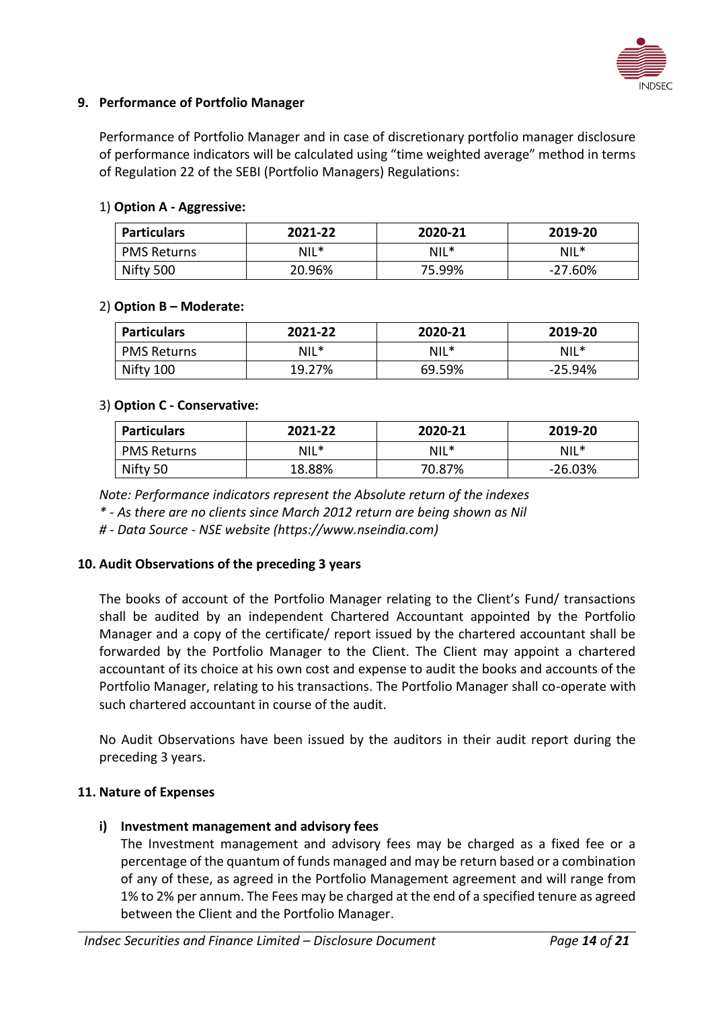

# **9. Performance of Portfolio Manager**

Performance of Portfolio Manager and in case of discretionary portfolio manager disclosure of performance indicators will be calculated using "time weighted average" method in terms of Regulation 22 of the SEBI (Portfolio Managers) Regulations:

### 1) **Option A - Aggressive:**

| <b>Particulars</b> | 2021-22 | 2020-21 | 2019-20 |
|--------------------|---------|---------|---------|
| <b>PMS Returns</b> | $NIL^*$ | $NIL^*$ | $NIL^*$ |
| Nifty 500          | 20.96%  | 75.99%  | -27.60% |

### 2) **Option B – Moderate:**

| <b>Particulars</b> | 2021-22 | 2020-21 | 2019-20   |
|--------------------|---------|---------|-----------|
| <b>PMS Returns</b> | $NIL^*$ | $NIL^*$ | $NIL^*$   |
| Nifty 100          | 19.27%  | 69.59%  | $-25.94%$ |

### 3) **Option C - Conservative:**

| <b>Particulars</b> | 2021-22 | 2020-21 | 2019-20   |
|--------------------|---------|---------|-----------|
| <b>PMS Returns</b> | NIL*    | $NIL^*$ | $NIL^*$   |
| Nifty 50           | 18.88%  | 70.87%  | $-26.03%$ |

*Note: Performance indicators represent the Absolute return of the indexes*

*\* - As there are no clients since March 2012 return are being shown as Nil*

*# - Data Source - NSE website (https://www.nseindia.com)*

#### <span id="page-13-0"></span>**10. Audit Observations of the preceding 3 years**

The books of account of the Portfolio Manager relating to the Client's Fund/ transactions shall be audited by an independent Chartered Accountant appointed by the Portfolio Manager and a copy of the certificate/ report issued by the chartered accountant shall be forwarded by the Portfolio Manager to the Client. The Client may appoint a chartered accountant of its choice at his own cost and expense to audit the books and accounts of the Portfolio Manager, relating to his transactions. The Portfolio Manager shall co-operate with such chartered accountant in course of the audit.

No Audit Observations have been issued by the auditors in their audit report during the preceding 3 years.

#### <span id="page-13-1"></span>**11. Nature of Expenses**

# **i) Investment management and advisory fees**

The Investment management and advisory fees may be charged as a fixed fee or a percentage of the quantum of funds managed and may be return based or a combination of any of these, as agreed in the Portfolio Management agreement and will range from 1% to 2% per annum. The Fees may be charged at the end of a specified tenure as agreed between the Client and the Portfolio Manager.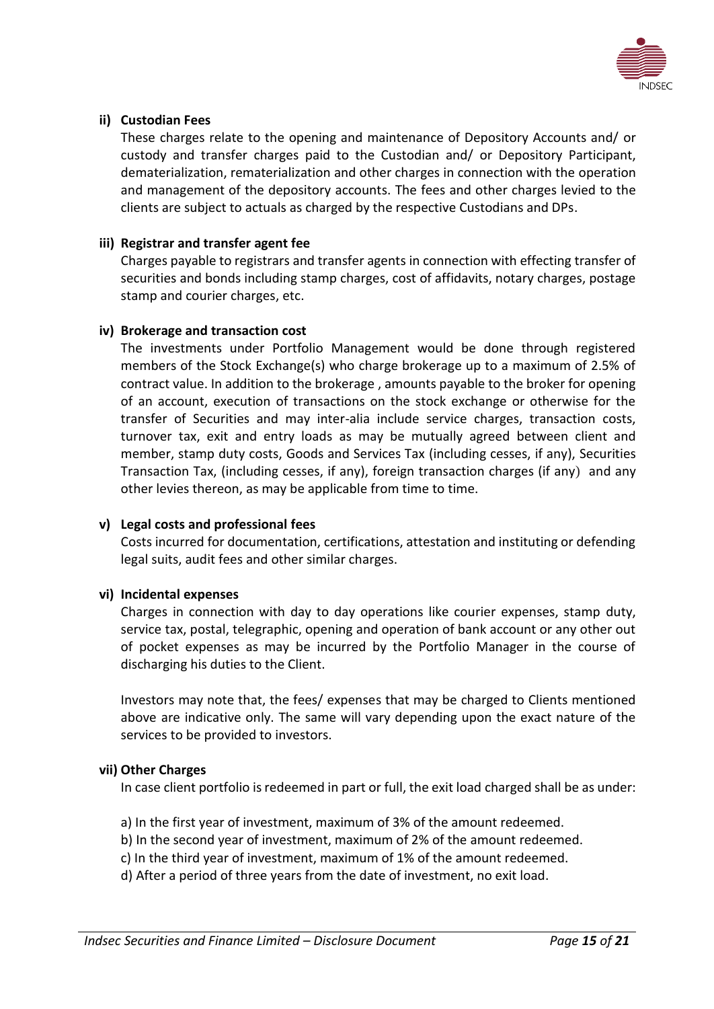

# **ii) Custodian Fees**

These charges relate to the opening and maintenance of Depository Accounts and/ or custody and transfer charges paid to the Custodian and/ or Depository Participant, dematerialization, rematerialization and other charges in connection with the operation and management of the depository accounts. The fees and other charges levied to the clients are subject to actuals as charged by the respective Custodians and DPs.

#### **iii) Registrar and transfer agent fee**

Charges payable to registrars and transfer agents in connection with effecting transfer of securities and bonds including stamp charges, cost of affidavits, notary charges, postage stamp and courier charges, etc.

#### **iv) Brokerage and transaction cost**

The investments under Portfolio Management would be done through registered members of the Stock Exchange(s) who charge brokerage up to a maximum of 2.5% of contract value. In addition to the brokerage , amounts payable to the broker for opening of an account, execution of transactions on the stock exchange or otherwise for the transfer of Securities and may inter-alia include service charges, transaction costs, turnover tax, exit and entry loads as may be mutually agreed between client and member, stamp duty costs, Goods and Services Tax (including cesses, if any), Securities Transaction Tax, (including cesses, if any), foreign transaction charges (if any) and any other levies thereon, as may be applicable from time to time.

#### **v) Legal costs and professional fees**

Costs incurred for documentation, certifications, attestation and instituting or defending legal suits, audit fees and other similar charges.

#### **vi) Incidental expenses**

Charges in connection with day to day operations like courier expenses, stamp duty, service tax, postal, telegraphic, opening and operation of bank account or any other out of pocket expenses as may be incurred by the Portfolio Manager in the course of discharging his duties to the Client.

Investors may note that, the fees/ expenses that may be charged to Clients mentioned above are indicative only. The same will vary depending upon the exact nature of the services to be provided to investors.

#### **vii) Other Charges**

In case client portfolio is redeemed in part or full, the exit load charged shall be as under:

- a) In the first year of investment, maximum of 3% of the amount redeemed.
- b) In the second year of investment, maximum of 2% of the amount redeemed.
- c) In the third year of investment, maximum of 1% of the amount redeemed.
- d) After a period of three years from the date of investment, no exit load.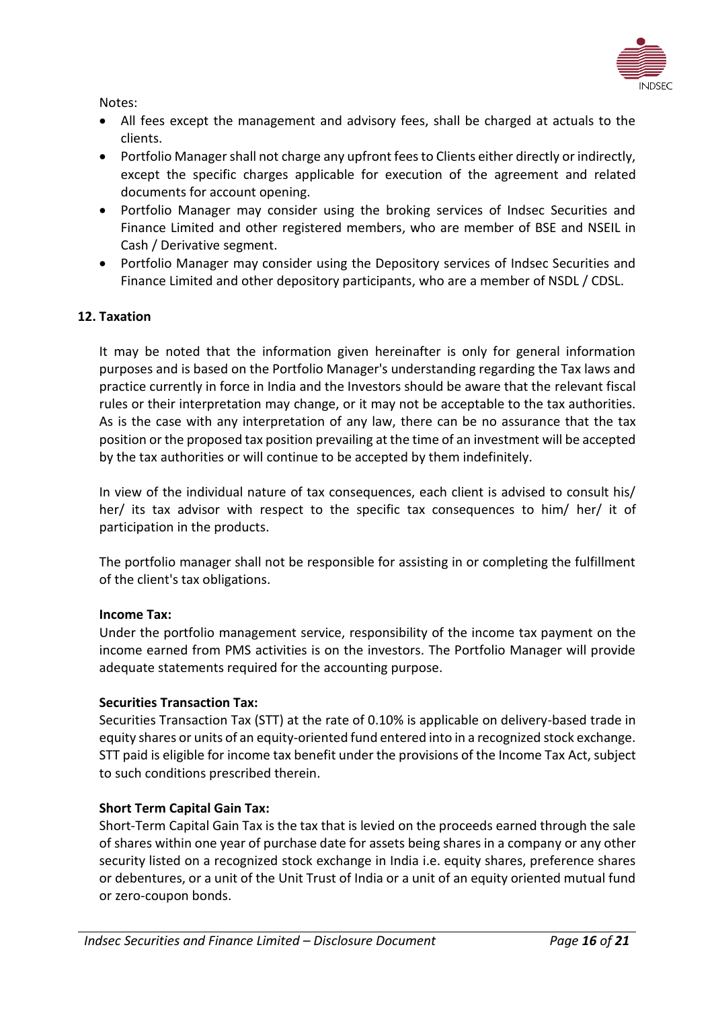

Notes:

- All fees except the management and advisory fees, shall be charged at actuals to the clients.
- Portfolio Manager shall not charge any upfront fees to Clients either directly or indirectly, except the specific charges applicable for execution of the agreement and related documents for account opening.
- Portfolio Manager may consider using the broking services of Indsec Securities and Finance Limited and other registered members, who are member of BSE and NSEIL in Cash / Derivative segment.
- Portfolio Manager may consider using the Depository services of Indsec Securities and Finance Limited and other depository participants, who are a member of NSDL / CDSL.

# <span id="page-15-0"></span>**12. Taxation**

It may be noted that the information given hereinafter is only for general information purposes and is based on the Portfolio Manager's understanding regarding the Tax laws and practice currently in force in India and the Investors should be aware that the relevant fiscal rules or their interpretation may change, or it may not be acceptable to the tax authorities. As is the case with any interpretation of any law, there can be no assurance that the tax position or the proposed tax position prevailing at the time of an investment will be accepted by the tax authorities or will continue to be accepted by them indefinitely.

In view of the individual nature of tax consequences, each client is advised to consult his/ her/ its tax advisor with respect to the specific tax consequences to him/ her/ it of participation in the products.

The portfolio manager shall not be responsible for assisting in or completing the fulfillment of the client's tax obligations.

#### **Income Tax:**

Under the portfolio management service, responsibility of the income tax payment on the income earned from PMS activities is on the investors. The Portfolio Manager will provide adequate statements required for the accounting purpose.

#### **Securities Transaction Tax:**

Securities Transaction Tax (STT) at the rate of 0.10% is applicable on delivery-based trade in equity shares or units of an equity-oriented fund entered into in a recognized stock exchange. STT paid is eligible for income tax benefit under the provisions of the Income Tax Act, subject to such conditions prescribed therein.

#### **Short Term Capital Gain Tax:**

Short-Term Capital Gain Tax is the tax that is levied on the proceeds earned through the sale of shares within one year of purchase date for assets being shares in a company or any other security listed on a recognized stock exchange in India i.e. equity shares, preference shares or debentures, or a unit of the Unit Trust of India or a unit of an equity oriented mutual fund or zero-coupon bonds.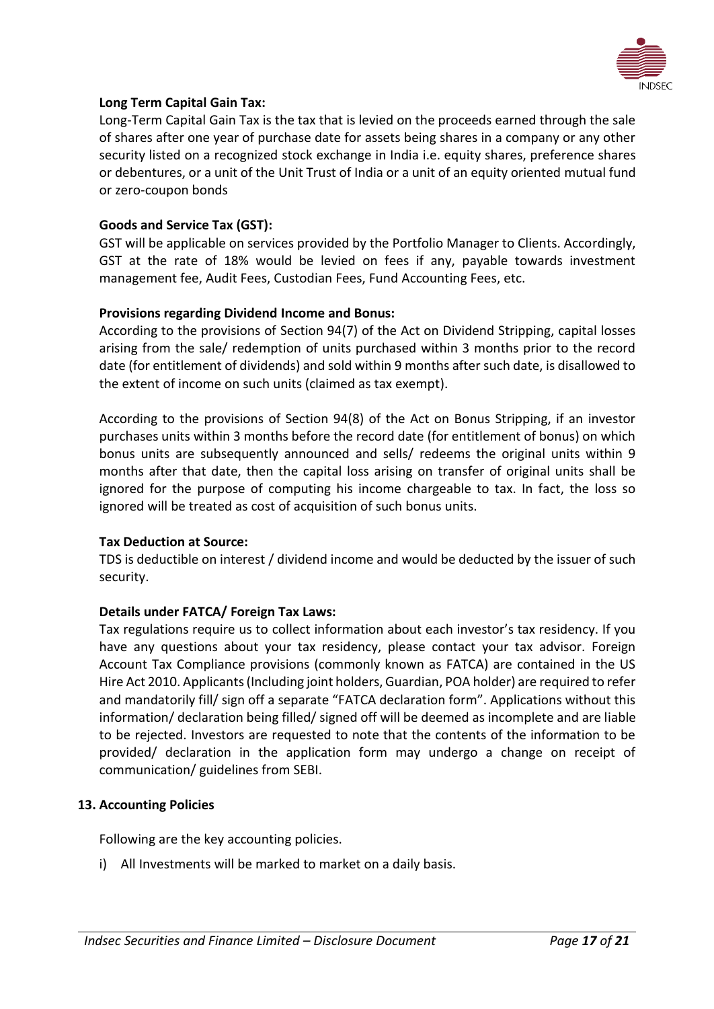

# **Long Term Capital Gain Tax:**

Long-Term Capital Gain Tax is the tax that is levied on the proceeds earned through the sale of shares after one year of purchase date for assets being shares in a company or any other security listed on a recognized stock exchange in India i.e. equity shares, preference shares or debentures, or a unit of the Unit Trust of India or a unit of an equity oriented mutual fund or zero-coupon bonds

### **Goods and Service Tax (GST):**

GST will be applicable on services provided by the Portfolio Manager to Clients. Accordingly, GST at the rate of 18% would be levied on fees if any, payable towards investment management fee, Audit Fees, Custodian Fees, Fund Accounting Fees, etc.

### **Provisions regarding Dividend Income and Bonus:**

According to the provisions of Section 94(7) of the Act on Dividend Stripping, capital losses arising from the sale/ redemption of units purchased within 3 months prior to the record date (for entitlement of dividends) and sold within 9 months after such date, is disallowed to the extent of income on such units (claimed as tax exempt).

According to the provisions of Section 94(8) of the Act on Bonus Stripping, if an investor purchases units within 3 months before the record date (for entitlement of bonus) on which bonus units are subsequently announced and sells/ redeems the original units within 9 months after that date, then the capital loss arising on transfer of original units shall be ignored for the purpose of computing his income chargeable to tax. In fact, the loss so ignored will be treated as cost of acquisition of such bonus units.

#### **Tax Deduction at Source:**

TDS is deductible on interest / dividend income and would be deducted by the issuer of such security.

#### **Details under FATCA/ Foreign Tax Laws:**

Tax regulations require us to collect information about each investor's tax residency. If you have any questions about your tax residency, please contact your tax advisor. Foreign Account Tax Compliance provisions (commonly known as FATCA) are contained in the US Hire Act 2010. Applicants (Including joint holders, Guardian, POA holder) are required to refer and mandatorily fill/ sign off a separate "FATCA declaration form". Applications without this information/ declaration being filled/ signed off will be deemed as incomplete and are liable to be rejected. Investors are requested to note that the contents of the information to be provided/ declaration in the application form may undergo a change on receipt of communication/ guidelines from SEBI.

#### <span id="page-16-0"></span>**13. Accounting Policies**

Following are the key accounting policies.

i) All Investments will be marked to market on a daily basis.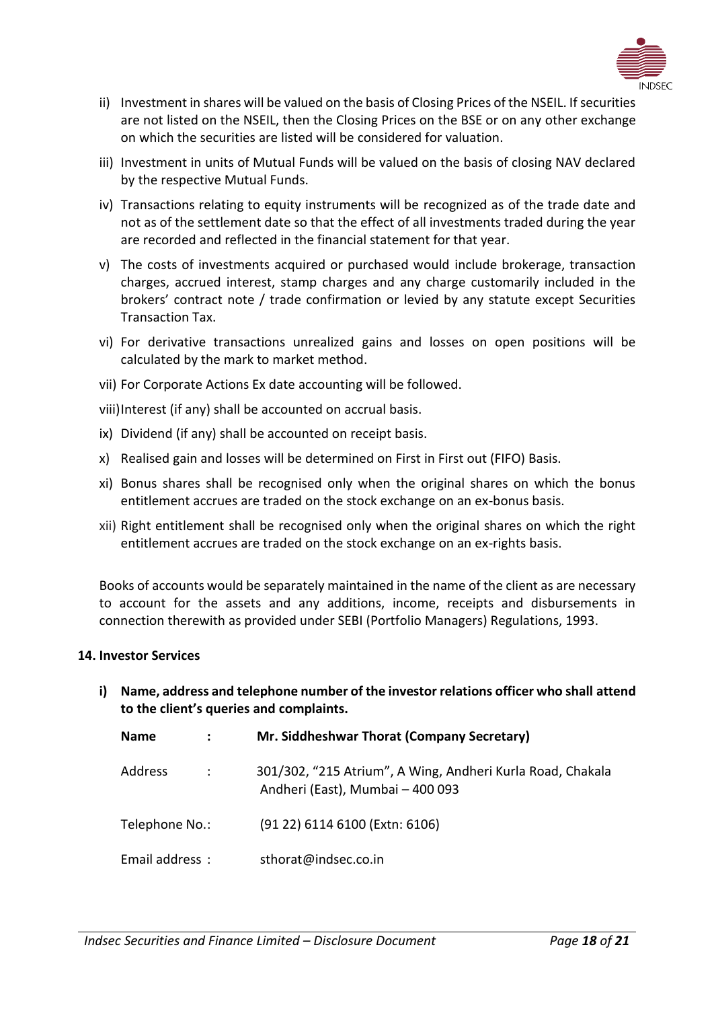

- ii) Investment in shares will be valued on the basis of Closing Prices of the NSEIL. If securities are not listed on the NSEIL, then the Closing Prices on the BSE or on any other exchange on which the securities are listed will be considered for valuation.
- iii) Investment in units of Mutual Funds will be valued on the basis of closing NAV declared by the respective Mutual Funds.
- iv) Transactions relating to equity instruments will be recognized as of the trade date and not as of the settlement date so that the effect of all investments traded during the year are recorded and reflected in the financial statement for that year.
- v) The costs of investments acquired or purchased would include brokerage, transaction charges, accrued interest, stamp charges and any charge customarily included in the brokers' contract note / trade confirmation or levied by any statute except Securities Transaction Tax.
- vi) For derivative transactions unrealized gains and losses on open positions will be calculated by the mark to market method.
- vii) For Corporate Actions Ex date accounting will be followed.
- viii)Interest (if any) shall be accounted on accrual basis.
- ix) Dividend (if any) shall be accounted on receipt basis.
- x) Realised gain and losses will be determined on First in First out (FIFO) Basis.
- xi) Bonus shares shall be recognised only when the original shares on which the bonus entitlement accrues are traded on the stock exchange on an ex-bonus basis.
- xii) Right entitlement shall be recognised only when the original shares on which the right entitlement accrues are traded on the stock exchange on an ex-rights basis.

Books of accounts would be separately maintained in the name of the client as are necessary to account for the assets and any additions, income, receipts and disbursements in connection therewith as provided under SEBI (Portfolio Managers) Regulations, 1993.

#### <span id="page-17-0"></span>**14. Investor Services**

**i) Name, address and telephone number of the investor relations officer who shall attend to the client's queries and complaints.**

| <b>Name</b>    |                      | Mr. Siddheshwar Thorat (Company Secretary)                                                     |
|----------------|----------------------|------------------------------------------------------------------------------------------------|
| Address        | $\ddot{\phantom{a}}$ | 301/302, "215 Atrium", A Wing, Andheri Kurla Road, Chakala<br>Andheri (East), Mumbai - 400 093 |
| Telephone No.: |                      | (91 22) 6114 6100 (Extn: 6106)                                                                 |
| Email address: |                      | sthorat@indsec.co.in                                                                           |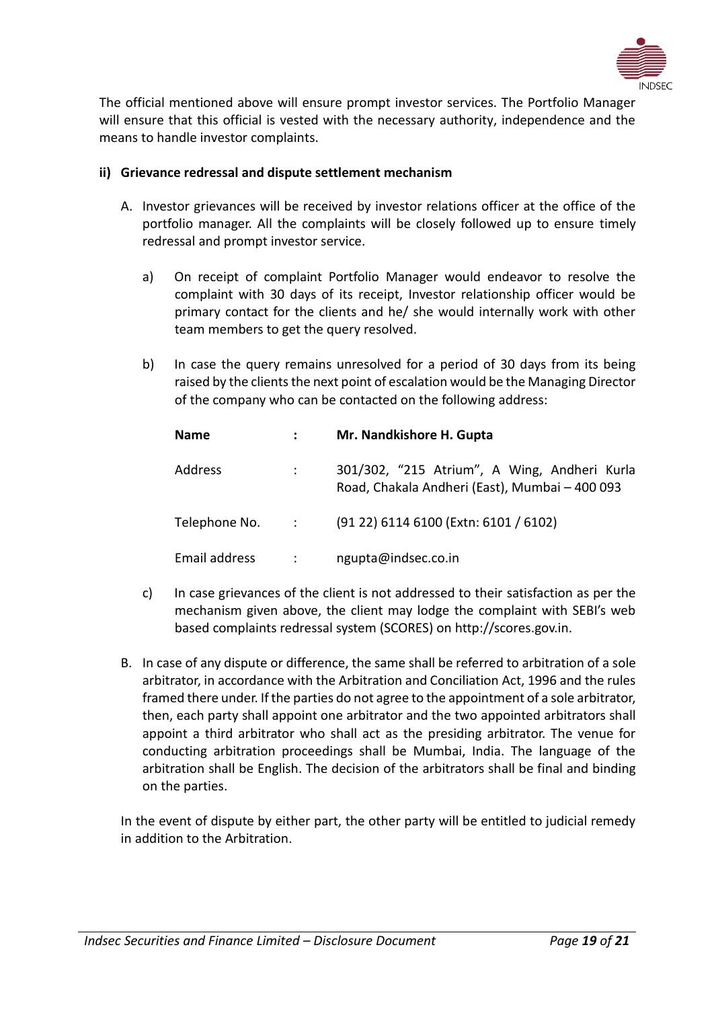

The official mentioned above will ensure prompt investor services. The Portfolio Manager will ensure that this official is vested with the necessary authority, independence and the means to handle investor complaints.

# **ii) Grievance redressal and dispute settlement mechanism**

- A. Investor grievances will be received by investor relations officer at the office of the portfolio manager. All the complaints will be closely followed up to ensure timely redressal and prompt investor service.
	- a) On receipt of complaint Portfolio Manager would endeavor to resolve the complaint with 30 days of its receipt, Investor relationship officer would be primary contact for the clients and he/ she would internally work with other team members to get the query resolved.
	- b) In case the query remains unresolved for a period of 30 days from its being raised by the clients the next point of escalation would be the Managing Director of the company who can be contacted on the following address:

| <b>Name</b>    | $\mathbf{L}$               | Mr. Nandkishore H. Gupta                                                                       |
|----------------|----------------------------|------------------------------------------------------------------------------------------------|
| <b>Address</b> | $\mathcal{L}^{\text{max}}$ | 301/302, "215 Atrium", A Wing, Andheri Kurla<br>Road, Chakala Andheri (East), Mumbai - 400 093 |
|                |                            | (91 22) 6114 6100 (Extn: 6101 / 6102)                                                          |
| Email address  | $\ddot{\phantom{a}}$       | ngupta@indsec.co.in                                                                            |

- c) In case grievances of the client is not addressed to their satisfaction as per the mechanism given above, the client may lodge the complaint with SEBI's web based complaints redressal system (SCORES) on http://scores.gov.in.
- B. In case of any dispute or difference, the same shall be referred to arbitration of a sole arbitrator, in accordance with the Arbitration and Conciliation Act, 1996 and the rules framed there under. If the parties do not agree to the appointment of a sole arbitrator, then, each party shall appoint one arbitrator and the two appointed arbitrators shall appoint a third arbitrator who shall act as the presiding arbitrator. The venue for conducting arbitration proceedings shall be Mumbai, India. The language of the arbitration shall be English. The decision of the arbitrators shall be final and binding on the parties.

<span id="page-18-0"></span>In the event of dispute by either part, the other party will be entitled to judicial remedy in addition to the Arbitration.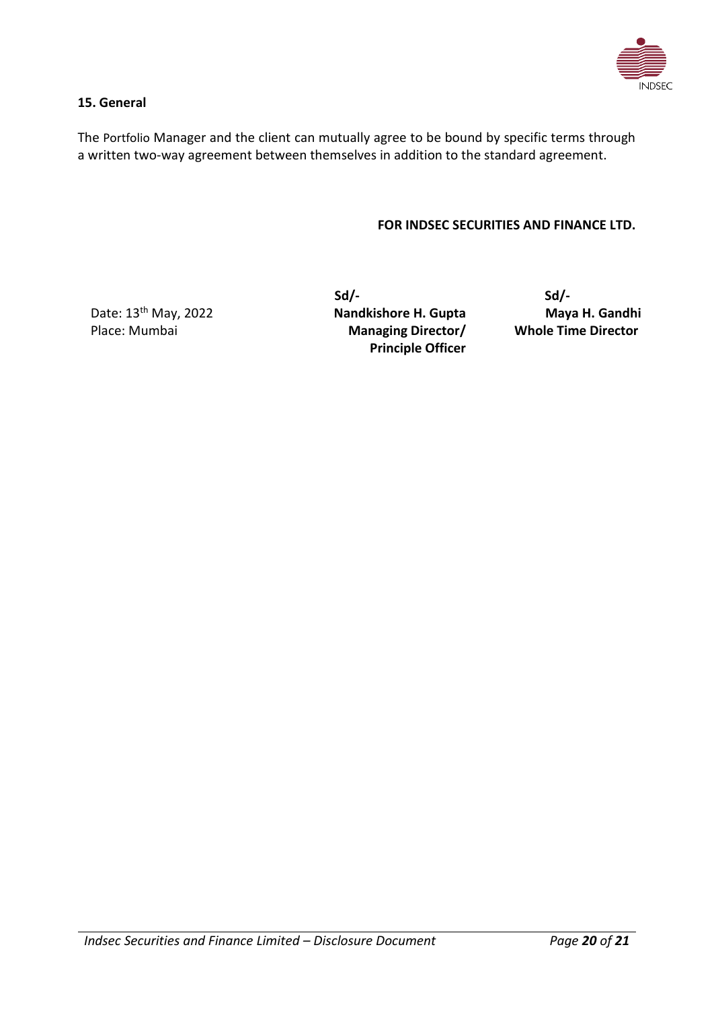

### **15. General**

The Portfolio Manager and the client can mutually agree to be bound by specific terms through a written two-way agreement between themselves in addition to the standard agreement.

#### **FOR INDSEC SECURITIES AND FINANCE LTD.**

Date: 13<sup>th</sup> May, 2022 Place: Mumbai

 **Sd/- Sd/- Nandkishore H. Gupta Managing Director/ Principle Officer**

**Maya H. Gandhi Whole Time Director**